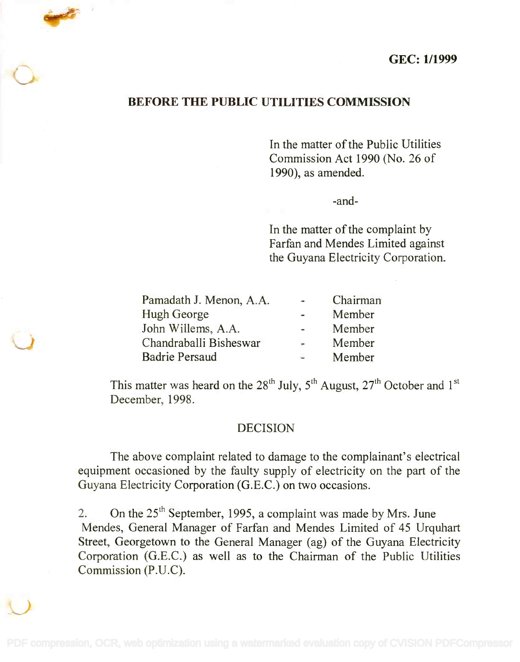## GEC: 1/1999

## BEFORE THE PUBLIC UTILITIES COMMISSION

In the matter of the Public Utilities In the matter of the Public Utilities Commission Act 1990 (No. 26 of Commission Act 1990 (No. 26 of 1990), as amended. 1990), as amended.

-and-

In the matter of the complaint by In the matter of the complaint by Farfan and Mendes Limited against Farfan and Mendes Limited against the Guyana Electricity Corporation. the Guyana Electricity Corporation.

| Pamadath J. Menon, A.A. | $\sim$                       | Chairman |
|-------------------------|------------------------------|----------|
| Hugh George             | $\qquad \qquad \blacksquare$ | Member   |
| John Willems, A.A.      |                              | Member   |
| Chandraballi Bisheswar  | $\blacksquare$               | Member   |
| <b>Badrie Persaud</b>   |                              | Member   |

This matter was heard on the 28<sup>th</sup> July, 5<sup>th</sup> August, 27<sup>th</sup> October and 1<sup>st</sup> December, 1998. December, 1998.

## DECISION

The above complaint related to damage to the complainant's electrical The above complaint related to damage to the complainant's electrical equipment occasioned by the faulty supply of electricity on the part of the equipment occasioned by the faulty supply of electricity on the part of the Guyana Electricity Corporation (G.E.C.) on two occasions. Guyana Electricity Corporation (G.E.C.) on two occasions.

2. On the  $25<sup>th</sup>$  September, 1995, a complaint was made by Mrs. June Mendes, General Manager of Farfan and Mendes Limited of 45 Urquhart Mendes, General Manager of Farfan and Mendes Limited of 45 Urquhart Street, Georgetown to the General Manager (ag) of the Guyana Electricity Street, Georgetown to the General Manager (ag) of the Guyana Electricity Corporation (G.E.C.) as well as to the Chairman of the Public Utilities Corporation (G.E.C.) as well as to the Chairman of the Public Utilities Commission (P.U.C). Commission (P.U.C).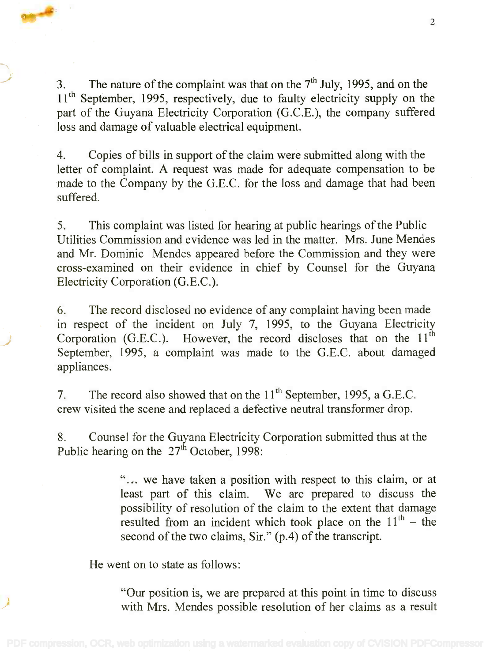3. The nature of the complaint was that on the  $7<sup>th</sup>$  July, 1995, and on the 11<sup>th</sup> September, 1995, respectively, due to faulty electricity supply on the part of the Guyana Electricity Corporation (G.C.E.), the company suffered part of the Guyana Electricity Corporation (G.C.E.), the company suffered loss and damage of valuable electrical equipment. loss and damage of valuable electrical equipment.

4. Copies of bills in support of the claim were submitted along with the 4. Copies of bills in support of the claim were submitted along with the letter of complaint. A request was made for adequate compensation to be letter of complaint. A request was made for adequate compensation to be made to the Company by the G.E.C. for the loss and damage that had been made to the Company by the G.E.C. for the loss and damage that had been suffered. suffered.

5. This complaint was listed for hearing at public hearings of the Public 5. This complaint was listed for hearing at public hearings of the Public Utilities Commission and evidence was led in the matter. Mrs. June Mendes Utilities Commission and evidence was led in the matter. Mrs. June Mendes and Mr. Dominic Mendes appeared before the Commission and they were and Mr. Dominic Mendes appeared before the Commission and they were cross-examined on their evidence in chief by Counsel for the Guyana cross-examined on their evidence in chief by Counsel for the Guyana Electricity Corporation (G.E.C.). Electricity Corporation (G.E.C.).

6. The record disclosed no evidence of any complaint having been made 6. The record disclosed no evidence of any complaint having been made in respect of the incident on July 7, 1995, to the Guyana Electricity in respect of the incident on July 7, 1995, to the Guyana Electricity Corporation (G.E.C.). However, the record discloses that on the  $11<sup>th</sup>$ September, 1995, a complaint was made to the G.E.C. about damaged September, 1995, a complaint was made to the G.E.C. about damaged appliances. appliances.

7. The record also showed that on the  $11<sup>th</sup>$  September, 1995, a G.E.C. crew visited the scene and replaced a defective neutral transformer drop. crew visited the scene and replaced a defective neutral transformer drop.

8. Counsel for the Guyana Electricity Corporation submitted thus at the 8. Counsel for the Guyana Electricity Corporation submitted thus at the Public hearing on the  $27<sup>th</sup>$  October, 1998:

> . . . we have taken a position with respect to this claim, or at " ... we have taken a position with respect to this claim, or at least part of this claim. We are prepared to discuss the possibility of resolution of the claim to the extent that damage possibility of resolution of the claim to the extent that damage resulted from an incident which took place on the  $11<sup>th</sup>$  – the second of the two claims, Sir." (p.4) of the transcript. second of the two claims, Sir." *(pA)* of the transcript.

He went on to state as follows:

"Our position is, we are prepared at this point in time to discuss "Our position is, we are prepared at this point in time to discuss with Mrs. Mendes possible resolution of her claims as a result with Mrs. Mendes possible resolution of her claims as a result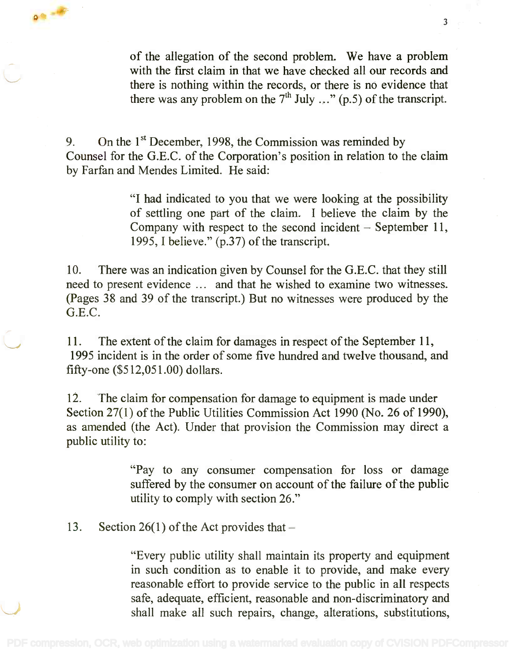of the allegation of the second problem. We have a problem of the allegation of the second problem. We have a problem with the first claim in that we have checked all our records and there is nothing within the records, or there is no evidence that there is nothing within the records, or there is no evidence that there was any problem on the  $7<sup>th</sup>$  July ..." (p.5) of the transcript. *h* July ... " (p.5) of the transcript.

3 and 20

9. On the 1<sup>st</sup> December, 1998, the Commission was reminded by Counsel for the G.E.C. of the Corporation's position in relation to the claim Counsel for the G.E.C. of the Corporation's position in relation to the claim by Farfan and Mendes Limited. He said: by Farfan and Mendes Limited. He said:

> "I had indicated to you that we were looking at the possibility "I had indicated to you that we were looking at the possibility of settling one part of the claim. I believe the claim by the of settling one part of the claim. 1 believe the claim by the Company with respect to the second incident  $-$  September 11, 1995, I believe." (p.37) of the transcript. 1995, 1believe." (p.37) of the transcript.

10. There was an indication given by Counsel for the G.E.C. that they still 10. There was an indication given by Counsel for the G.E.C. that they still need to present evidence ... and that he wished to examine two witnesses. need to present evidence ... and that he wished to examine two witnesses. (Pages 38 and 39 of the transcript.) But no witnesses were produced by the (Pages 38 and 39 of the transcript.) But no witnesses were produced by the G.E.C. G.E.C.

11. The extent of the claim for damages in respect of the September 11, 11. The extent of the claim for damages in respect of the September 11, 1995 incident is in the order of some five hundred and twelve thousand, and 1995 incident is in the order of some fIve hundred and twelve thousand, and fifty-one (\$512,051.00) dollars. fIfty-one (\$512,051.00) dollars.

12. The claim for compensation for damage to equipment is made under 12. The claim for compensation for damage to equipment is made under Section 27(1) of the Public Utilities Commission Act 1990 (No. 26 of 1990), Section 27(1) of the Public Utilities Commission Act 1990 (No. 26 of 1990), as amended (the Act). Under that provision the Commission may direct a as amended (the Act). Under that provision the Commission may direct a public utility to: public utility to:

> "Pay to any consumer compensation for loss or damage "Pay to any consumer compensation for loss or damage suffered by the consumer on account of the failure of the public suffered by the consumer on account of the failure of the public utility to comply with section 26." utility to comply with section 26."

13. Section 26(1) of the Act provides that  $-$ 

00

"Every public utility shall maintain its property and equipment "Every public utility shall maintain its property and equipment in such condition as to enable it to provide, and make every in such condition as to enable it to provide, and make every reasonable effort to provide service to the public in all respects reasonable effort to provide service to the public in all respects safe, adequate, efficient, reasonable and non-discriminatory and safe, adequate, efficient, reasonable and non-discriminatory and shall make all such repairs, change, alterations, substitutions, shall make all such repairs, change, alterations, substitutions,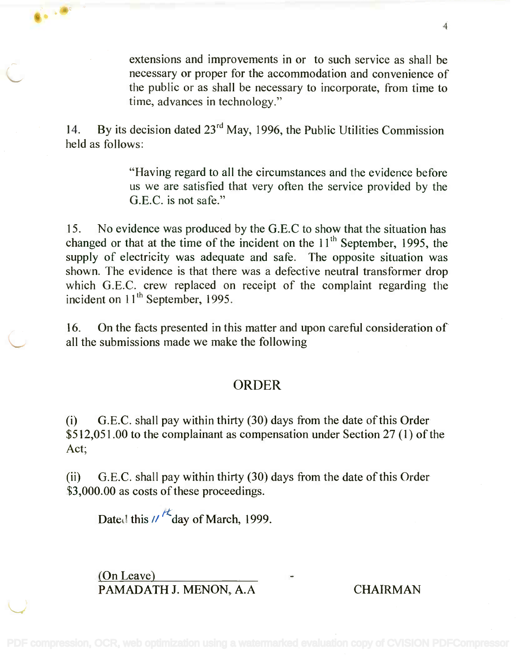extensions and improvements in or to such service as shall be extensions and improvements in or to such service as shall be necessary or proper for the accommodation and convenience of necessary or proper for the accommodation and convenience of the public or as shall be necessary to incorporate, from time to the public or as shall be necessary to incorporate, from time to time, advances in technology." time, advances in technology."

14. By its decision dated  $23^{\text{rd}}$  May, 1996, the Public Utilities Commission held as follows: held as follows:

> "Having regard to all the circumstances and the evidence before "Having regard to all the circumstances and the evidence before us we are satisfied that very often the service provided by the us we are satisfied that very often the service provided by the G.E.C. is not safe." G.E.C. is not safe."

15. No evidence was produced by the G.E.C to show that the situation has changed or that at the time of the incident on the  $11<sup>th</sup>$  September, 1995, the supply of electricity was adequate and safe. The opposite situation was supply of electricity was adequate and safe. The opposite situation was shown. The evidence is that there was a defective neutral transformer drop shown. The evidence is that there was a defective neutral transformer drop which G.E.C. crew replaced on receipt of the complaint regarding the which G.E.C. crew replaced on receipt of the complaint regarding the incident on 11<sup>th</sup> September, 1995.

16. On the facts presented in this matter and upon careful consideration of 16. On the facts presented in this matter and upon careful consideration of all the submissions made we make the following all the submissions made we make the following

## ORDER

(i) G.E.C. shall pay within thirty (30) days from the date of this Order (i) G.E.C. shall pay within thirty (30) days from the date of this Order \$512,051.00 to the complainant as compensation under Section 27 (1) of the \$512,051.00 to the complainant as compensation under Section 27 (1) of the  $\det$ ;

(ii) G.E.C. shall pay within thirty (30) days from the date of this Order (ii) G.E.C. shall pay within thirty (30) days from the date of this Order \$3,000.00 as costs of these proceedings. \$3,000.00 as costs of these proceedings.

Dated this // <sup>/ t</sup>day of March, 1999.

(On Leave) (On Leave) PAMADATH J. MENON, A.A CHAIRMAN PAMADATHJ. MENON, A.A